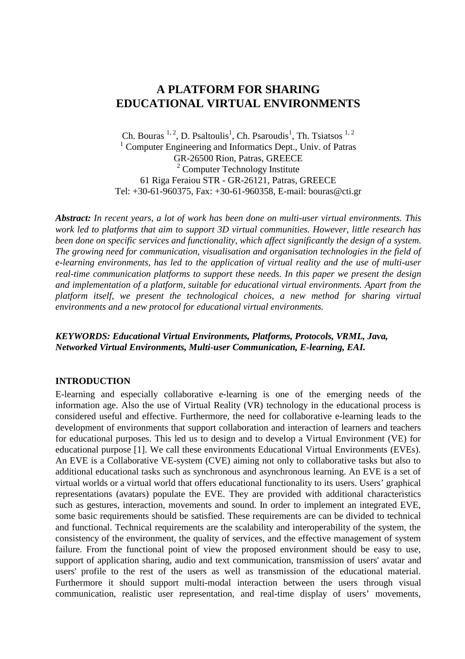# **A PLATFORM FOR SHARING EDUCATIONAL VIRTUAL ENVIRONMENTS**

Ch. Bouras  $^{1, 2}$ , D. Psaltoulis<sup>1</sup>, Ch. Psaroudis<sup>1</sup>, Th. Tsiatsos  $^{1, 2}$ <sup>1</sup> Computer Engineering and Informatics Dept., Univ. of Patras GR-26500 Rion, Patras, GREECE <sup>2</sup> Computer Technology Institute 61 Riga Feraiou STR - GR-26121, Patras, GREECE Tel: +30-61-960375, Fax: +30-61-960358, E-mail: bouras@cti.gr

*Abstract: In recent years, a lot of work has been done on multi-user virtual environments. This work led to platforms that aim to support 3D virtual communities. However, little research has been done on specific services and functionality, which affect significantly the design of a system. The growing need for communication, visualisation and organisation technologies in the field of e-learning environments, has led to the application of virtual reality and the use of multi-user real-time communication platforms to support these needs. In this paper we present the design and implementation of a platform, suitable for educational virtual environments. Apart from the platform itself, we present the technological choices, a new method for sharing virtual environments and a new protocol for educational virtual environments.*

### *KEYWORDS: Educational Virtual Environments, Platforms, Protocols, VRML, Java, Networked Virtual Environments, Multi-user Communication, E-learning, EAI.*

### **INTRODUCTION**

E-learning and especially collaborative e-learning is one of the emerging needs of the information age. Also the use of Virtual Reality (VR) technology in the educational process is considered useful and effective. Furthermore, the need for collaborative e-learning leads to the development of environments that support collaboration and interaction of learners and teachers for educational purposes. This led us to design and to develop a Virtual Environment (VE) for educational purpose [1]. We call these environments Educational Virtual Environments (EVEs). An EVE is a Collaborative VE-system (CVE) aiming not only to collaborative tasks but also to additional educational tasks such as synchronous and asynchronous learning. An EVE is a set of virtual worlds or a virtual world that offers educational functionality to its users. Users' graphical representations (avatars) populate the EVE. They are provided with additional characteristics such as gestures, interaction, movements and sound. In order to implement an integrated EVE, some basic requirements should be satisfied. These requirements are can be divided to technical and functional. Technical requirements are the scalability and interoperability of the system, the consistency of the environment, the quality of services, and the effective management of system failure. From the functional point of view the proposed environment should be easy to use, support of application sharing, audio and text communication, transmission of users' avatar and users' profile to the rest of the users as well as transmission of the educational material. Furthermore it should support multi-modal interaction between the users through visual communication, realistic user representation, and real-time display of users' movements,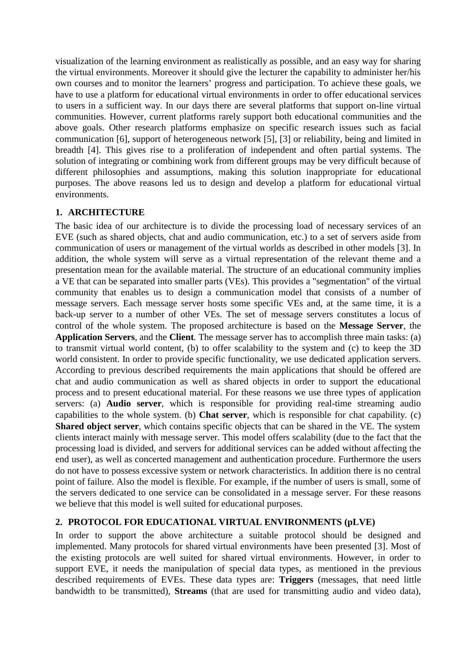visualization of the learning environment as realistically as possible, and an easy way for sharing the virtual environments. Moreover it should give the lecturer the capability to administer her/his own courses and to monitor the learners' progress and participation. To achieve these goals, we have to use a platform for educational virtual environments in order to offer educational services to users in a sufficient way. In our days there are several platforms that support on-line virtual communities. However, current platforms rarely support both educational communities and the above goals. Other research platforms emphasize on specific research issues such as facial communication [6], support of heterogeneous network [5], [3] or reliability, being and limited in breadth [4]. This gives rise to a proliferation of independent and often partial systems. The solution of integrating or combining work from different groups may be very difficult because of different philosophies and assumptions, making this solution inappropriate for educational purposes. The above reasons led us to design and develop a platform for educational virtual environments.

# **1. ARCHITECTURE**

The basic idea of our architecture is to divide the processing load of necessary services of an EVE (such as shared objects, chat and audio communication, etc.) to a set of servers aside from communication of users or management of the virtual worlds as described in other models [3]. In addition, the whole system will serve as a virtual representation of the relevant theme and a presentation mean for the available material. The structure of an educational community implies a VE that can be separated into smaller parts (VEs). This provides a "segmentation" of the virtual community that enables us to design a communication model that consists of a number of message servers. Each message server hosts some specific VEs and, at the same time, it is a back-up server to a number of other VEs. The set of message servers constitutes a locus of control of the whole system. The proposed architecture is based on the **Message Server**, the **Application Servers**, and the **Client***.* The message server has to accomplish three main tasks: (a) to transmit virtual world content, (b) to offer scalability to the system and (c) to keep the 3D world consistent. In order to provide specific functionality, we use dedicated application servers. According to previous described requirements the main applications that should be offered are chat and audio communication as well as shared objects in order to support the educational process and to present educational material. For these reasons we use three types of application servers: (a) **Audio server**, which is responsible for providing real-time streaming audio capabilities to the whole system. (b) **Chat server**, which is responsible for chat capability. (c) **Shared object server**, which contains specific objects that can be shared in the VE. The system clients interact mainly with message server. This model offers scalability (due to the fact that the processing load is divided, and servers for additional services can be added without affecting the end user), as well as concerted management and authentication procedure. Furthermore the users do not have to possess excessive system or network characteristics. In addition there is no central point of failure. Also the model is flexible. For example, if the number of users is small, some of the servers dedicated to one service can be consolidated in a message server. For these reasons we believe that this model is well suited for educational purposes.

# **2. PROTOCOL FOR EDUCATIONAL VIRTUAL ENVIRONMENTS (pLVE)**

In order to support the above architecture a suitable protocol should be designed and implemented. Many protocols for shared virtual environments have been presented [3]. Most of the existing protocols are well suited for shared virtual environments. However, in order to support EVE, it needs the manipulation of special data types, as mentioned in the previous described requirements of EVEs. These data types are: **Triggers** (messages, that need little bandwidth to be transmitted), **Streams** (that are used for transmitting audio and video data),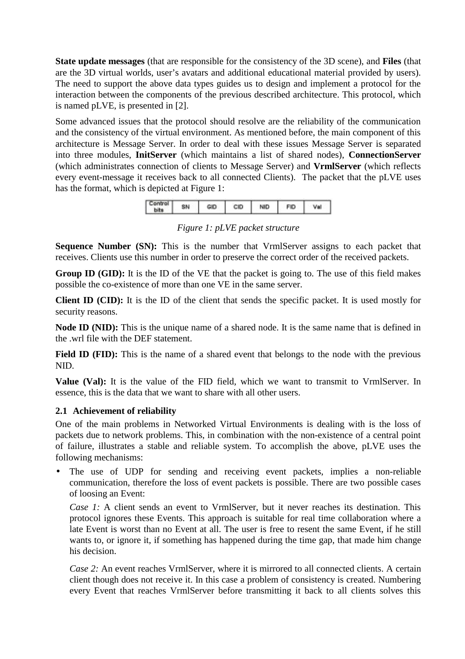**State update messages** (that are responsible for the consistency of the 3D scene), and **Files** (that are the 3D virtual worlds, user's avatars and additional educational material provided by users). The need to support the above data types guides us to design and implement a protocol for the interaction between the components of the previous described architecture. This protocol, which is named pLVE, is presented in [2].

Some advanced issues that the protocol should resolve are the reliability of the communication and the consistency of the virtual environment. As mentioned before, the main component of this architecture is Message Server. In order to deal with these issues Message Server is separated into three modules, **InitServer** (which maintains a list of shared nodes), **ConnectionServer** (which administrates connection of clients to Message Server) and **VrmlServer** (which reflects every event-message it receives back to all connected Clients). The packet that the pLVE uses has the format, which is depicted at Figure 1:



*Figure 1: pLVE packet structure*

**Sequence Number (SN):** This is the number that VrmlServer assigns to each packet that receives. Clients use this number in order to preserve the correct order of the received packets.

**Group ID (GID):** It is the ID of the VE that the packet is going to. The use of this field makes possible the co-existence of more than one VE in the same server.

**Client ID (CID):** It is the ID of the client that sends the specific packet. It is used mostly for security reasons.

**Node ID (NID):** This is the unique name of a shared node. It is the same name that is defined in the .wrl file with the DEF statement.

Field ID (FID): This is the name of a shared event that belongs to the node with the previous NID.

**Value (Val):** It is the value of the FID field, which we want to transmit to VrmlServer. In essence, this is the data that we want to share with all other users.

# **2.1 Achievement of reliability**

One of the main problems in Networked Virtual Environments is dealing with is the loss of packets due to network problems. This, in combination with the non-existence of a central point of failure, illustrates a stable and reliable system. To accomplish the above, pLVE uses the following mechanisms:

The use of UDP for sending and receiving event packets, implies a non-reliable communication, therefore the loss of event packets is possible. There are two possible cases of loosing an Event:

*Case 1:* A client sends an event to VrmlServer, but it never reaches its destination. This protocol ignores these Events. This approach is suitable for real time collaboration where a late Event is worst than no Event at all. The user is free to resent the same Event, if he still wants to, or ignore it, if something has happened during the time gap, that made him change his decision.

*Case 2:* An event reaches VrmlServer, where it is mirrored to all connected clients. A certain client though does not receive it. In this case a problem of consistency is created. Numbering every Event that reaches VrmlServer before transmitting it back to all clients solves this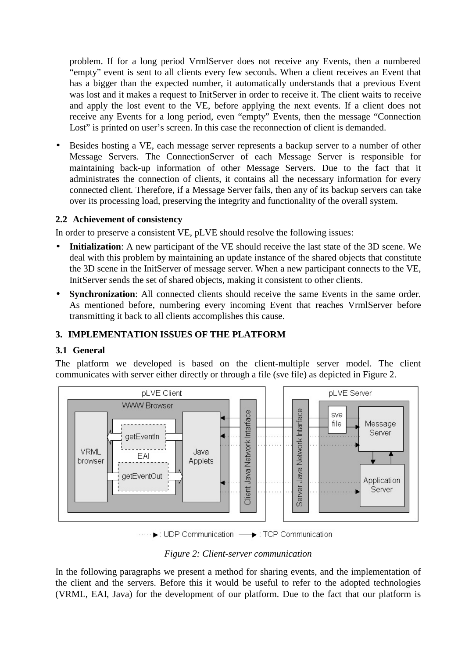problem. If for a long period VrmlServer does not receive any Events, then a numbered "empty" event is sent to all clients every few seconds. When a client receives an Event that has a bigger than the expected number, it automatically understands that a previous Event was lost and it makes a request to InitServer in order to receive it. The client waits to receive and apply the lost event to the VE, before applying the next events. If a client does not receive any Events for a long period, even "empty" Events, then the message "Connection Lost" is printed on user's screen. In this case the reconnection of client is demanded.

• Besides hosting a VE, each message server represents a backup server to a number of other Message Servers. The ConnectionServer of each Message Server is responsible for maintaining back-up information of other Message Servers. Due to the fact that it administrates the connection of clients, it contains all the necessary information for every connected client. Therefore, if a Message Server fails, then any of its backup servers can take over its processing load, preserving the integrity and functionality of the overall system.

### **2.2 Achievement of consistency**

In order to preserve a consistent VE, pLVE should resolve the following issues:

- Initialization: A new participant of the VE should receive the last state of the 3D scene. We deal with this problem by maintaining an update instance of the shared objects that constitute the 3D scene in the InitServer of message server. When a new participant connects to the VE, InitServer sends the set of shared objects, making it consistent to other clients.
- **Synchronization**: All connected clients should receive the same Events in the same order. As mentioned before, numbering every incoming Event that reaches VrmlServer before transmitting it back to all clients accomplishes this cause.

### **3. IMPLEMENTATION ISSUES OF THE PLATFORM**

### **3.1 General**

The platform we developed is based on the client-multiple server model. The client communicates with server either directly or through a file (sve file) as depicted in Figure 2.



····· ▶: UDP Communication - → : TCP Communication

#### *Figure 2: Client-server communication*

In the following paragraphs we present a method for sharing events, and the implementation of the client and the servers. Before this it would be useful to refer to the adopted technologies (VRML, EAI, Java) for the development of our platform. Due to the fact that our platform is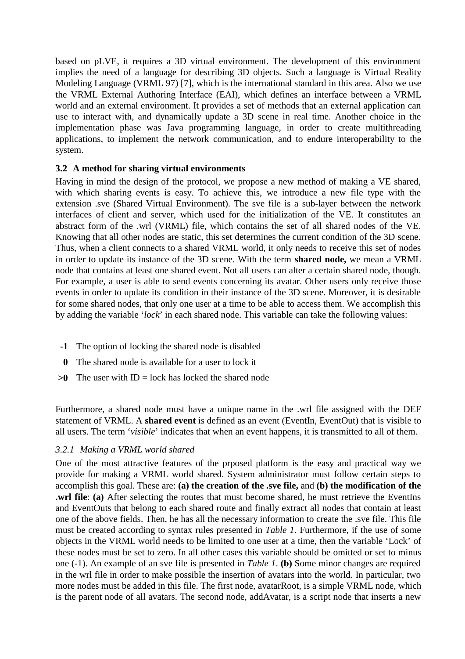based on pLVE, it requires a 3D virtual environment. The development of this environment implies the need of a language for describing 3D objects. Such a language is Virtual Reality Modeling Language (VRML 97) [7], which is the international standard in this area. Also we use the VRML External Authoring Interface (EAI), which defines an interface between a VRML world and an external environment. It provides a set of methods that an external application can use to interact with, and dynamically update a 3D scene in real time. Another choice in the implementation phase was Java programming language, in order to create multithreading applications, to implement the network communication, and to endure interoperability to the system.

# **3.2 A method for sharing virtual environments**

Having in mind the design of the protocol, we propose a new method of making a VE shared, with which sharing events is easy. To achieve this, we introduce a new file type with the extension .sve (Shared Virtual Environment). The sve file is a sub-layer between the network interfaces of client and server, which used for the initialization of the VE. It constitutes an abstract form of the .wrl (VRML) file, which contains the set of all shared nodes of the VE. Knowing that all other nodes are static, this set determines the current condition of the 3D scene. Thus, when a client connects to a shared VRML world, it only needs to receive this set of nodes in order to update its instance of the 3D scene. With the term **shared node,** we mean a VRML node that contains at least one shared event. Not all users can alter a certain shared node, though. For example, a user is able to send events concerning its avatar. Other users only receive those events in order to update its condition in their instance of the 3D scene. Moreover, it is desirable for some shared nodes, that only one user at a time to be able to access them. We accomplish this by adding the variable '*lock*' in each shared node. This variable can take the following values:

- **-1** The option of locking the shared node is disabled
- **0** The shared node is available for a user to lock it
- $>0$  The user with ID = lock has locked the shared node

Furthermore, a shared node must have a unique name in the .wrl file assigned with the DEF statement of VRML. A **shared event** is defined as an event (EventIn, EventOut) that is visible to all users. The term '*visible*' indicates that when an event happens, it is transmitted to all of them.

### *3.2.1 Making a VRML world shared*

One of the most attractive features of the prposed platform is the easy and practical way we provide for making a VRML world shared. System administrator must follow certain steps to accomplish this goal. These are: **(a) the creation of the .sve file,** and **(b) the modification of the .wrl file**: **(a)** After selecting the routes that must become shared, he must retrieve the EventIns and EventOuts that belong to each shared route and finally extract all nodes that contain at least one of the above fields. Then, he has all the necessary information to create the .sve file. This file must be created according to syntax rules presented in *Table 1*. Furthermore, if the use of some objects in the VRML world needs to be limited to one user at a time, then the variable 'Lock' of these nodes must be set to zero. In all other cases this variable should be omitted or set to minus one (-1). An example of an sve file is presented in *Table 1*. **(b)** Some minor changes are required in the wrl file in order to make possible the insertion of avatars into the world. In particular, two more nodes must be added in this file. The first node, avatarRoot, is a simple VRML node, which is the parent node of all avatars. The second node, addAvatar, is a script node that inserts a new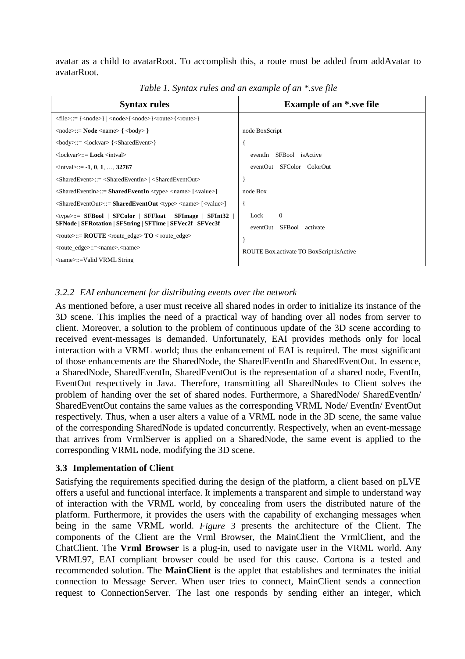avatar as a child to avatarRoot. To accomplish this, a route must be added from addAvatar to avatarRoot.

| <b>Syntax rules</b>                                                                                                                               | <b>Example of an *.sve file</b>          |
|---------------------------------------------------------------------------------------------------------------------------------------------------|------------------------------------------|
| $\langle file \rangle ::= {\langle node \rangle   \langle node \rangle} {\langle node \rangle} {\langle route \rangle} {\langle route \rangle}$   |                                          |
| $\langle \text{node} \rangle ::= \text{Node} \langle \text{name} \rangle$ { $\langle \text{body} \rangle$ }                                       | node BoxScript                           |
| $\text{<}$ body>::= $\text{<}$ lockvar> $\{\text{<}$ SharedEvent>}                                                                                |                                          |
| $\langle$ lockvar $\rangle :=$ <b>Lock</b> $\langle$ intval $\rangle$                                                                             | eventIn SFBool isActive                  |
| $\langle$ intval>::= -1, 0, 1, , 32767                                                                                                            | eventOut SFColor ColorOut                |
| $\langle$ SharedEvent>::= $\langle$ SharedEventIn> $ $ $\langle$ SharedEventOut>                                                                  |                                          |
| $\langle$ SharedEventIn>::= SharedEventIn $\langle$ type> $\langle$ name> $\langle$ $\langle$ value> $\rangle$                                    | node Box                                 |
| $\langle$ SharedEventOut>::= SharedEventOut $\langle$ type> $\langle$ name> $\langle$ $\langle$ value> $\rangle$                                  |                                          |
| $\langle$ type>::= SFBool   SFColor   SFFloat   SFImage   SFInt32                                                                                 | $\Omega$<br>Lock                         |
| SFNode   SFRotation   SFString   SFTime   SFVec2f   SFVec3f                                                                                       | eventOut SFBool<br>activate              |
| $\langle \text{route} \rangle ::= \text{ROUTE} \langle \text{route}_\text{edge} \rangle \cdot \text{TO} \langle \text{route}_\text{edge} \rangle$ |                                          |
| <route_edge>::=<name>.<name></name></name></route_edge>                                                                                           | ROUTE Box.activate TO BoxScript.isActive |
| <name>::=Valid VRML String</name>                                                                                                                 |                                          |

*Table 1. Syntax rules and an example of an \*.sve file*

# *3.2.2 EAI enhancement for distributing events over the network*

As mentioned before, a user must receive all shared nodes in order to initialize its instance of the 3D scene. This implies the need of a practical way of handing over all nodes from server to client. Moreover, a solution to the problem of continuous update of the 3D scene according to received event-messages is demanded. Unfortunately, EAI provides methods only for local interaction with a VRML world; thus the enhancement of EAI is required. The most significant of those enhancements are the SharedNode, the SharedEventIn and SharedEventOut. In essence, a SharedNode, SharedEventIn, SharedEventOut is the representation of a shared node, EventIn, EventOut respectively in Java. Therefore, transmitting all SharedNodes to Client solves the problem of handing over the set of shared nodes. Furthermore, a SharedNode/ SharedEventIn/ SharedEventOut contains the same values as the corresponding VRML Node/ EventIn/ EventOut respectively. Thus, when a user alters a value of a VRML node in the 3D scene, the same value of the corresponding SharedNode is updated concurrently. Respectively, when an event-message that arrives from VrmlServer is applied on a SharedNode, the same event is applied to the corresponding VRML node, modifying the 3D scene.

# **3.3 Implementation of Client**

Satisfying the requirements specified during the design of the platform, a client based on pLVE offers a useful and functional interface. It implements a transparent and simple to understand way of interaction with the VRML world, by concealing from users the distributed nature of the platform. Furthermore, it provides the users with the capability of exchanging messages when being in the same VRML world. *Figure 3* presents the architecture of the Client. The components of the Client are the Vrml Browser, the MainClient the VrmlClient, and the ChatClient. The **Vrml Browser** is a plug-in, used to navigate user in the VRML world. Any VRML97, EAI compliant browser could be used for this cause. Cortona is a tested and recommended solution. The **MainClient** is the applet that establishes and terminates the initial connection to Message Server. When user tries to connect, MainClient sends a connection request to ConnectionServer. The last one responds by sending either an integer, which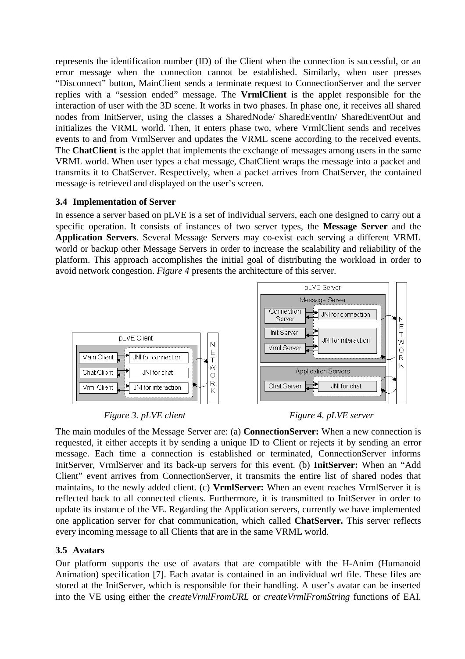represents the identification number (ID) of the Client when the connection is successful, or an error message when the connection cannot be established. Similarly, when user presses "Disconnect" button, MainClient sends a terminate request to ConnectionServer and the server replies with a "session ended" message. The **VrmlClient** is the applet responsible for the interaction of user with the 3D scene. It works in two phases. In phase one, it receives all shared nodes from InitServer, using the classes a SharedNode/ SharedEventIn/ SharedEventOut and initializes the VRML world. Then, it enters phase two, where VrmlClient sends and receives events to and from VrmlServer and updates the VRML scene according to the received events. The **ChatClient** is the applet that implements the exchange of messages among users in the same VRML world. When user types a chat message, ChatClient wraps the message into a packet and transmits it to ChatServer. Respectively, when a packet arrives from ChatServer, the contained message is retrieved and displayed on the user's screen.

# **3.4 Implementation of Server**

In essence a server based on pLVE is a set of individual servers, each one designed to carry out a specific operation. It consists of instances of two server types, the **Message Server** and the **Application Servers**. Several Message Servers may co-exist each serving a different VRML world or backup other Message Servers in order to increase the scalability and reliability of the platform. This approach accomplishes the initial goal of distributing the workload in order to avoid network congestion. *Figure 4* presents the architecture of this server.



*Figure 3. pLVE client* Figure 4. pLVE server

The main modules of the Message Server are: (a) **ConnectionServer:** When a new connection is requested, it either accepts it by sending a unique ID to Client or rejects it by sending an error message. Each time a connection is established or terminated, ConnectionServer informs InitServer, VrmlServer and its back-up servers for this event. (b) **InitServer:** When an "Add Client" event arrives from ConnectionServer, it transmits the entire list of shared nodes that maintains, to the newly added client. (c) **VrmlServer:** When an event reaches VrmlServer it is reflected back to all connected clients. Furthermore, it is transmitted to InitServer in order to update its instance of the VE. Regarding the Application servers, currently we have implemented one application server for chat communication, which called **ChatServer.** This server reflects every incoming message to all Clients that are in the same VRML world.

# **3.5 Avatars**

Our platform supports the use of avatars that are compatible with the H-Anim (Humanoid Animation) specification [7]. Each avatar is contained in an individual wrl file. These files are stored at the InitServer, which is responsible for their handling. A user's avatar can be inserted into the VE using either the *createVrmlFromURL* or *createVrmlFromString* functions of EAI.